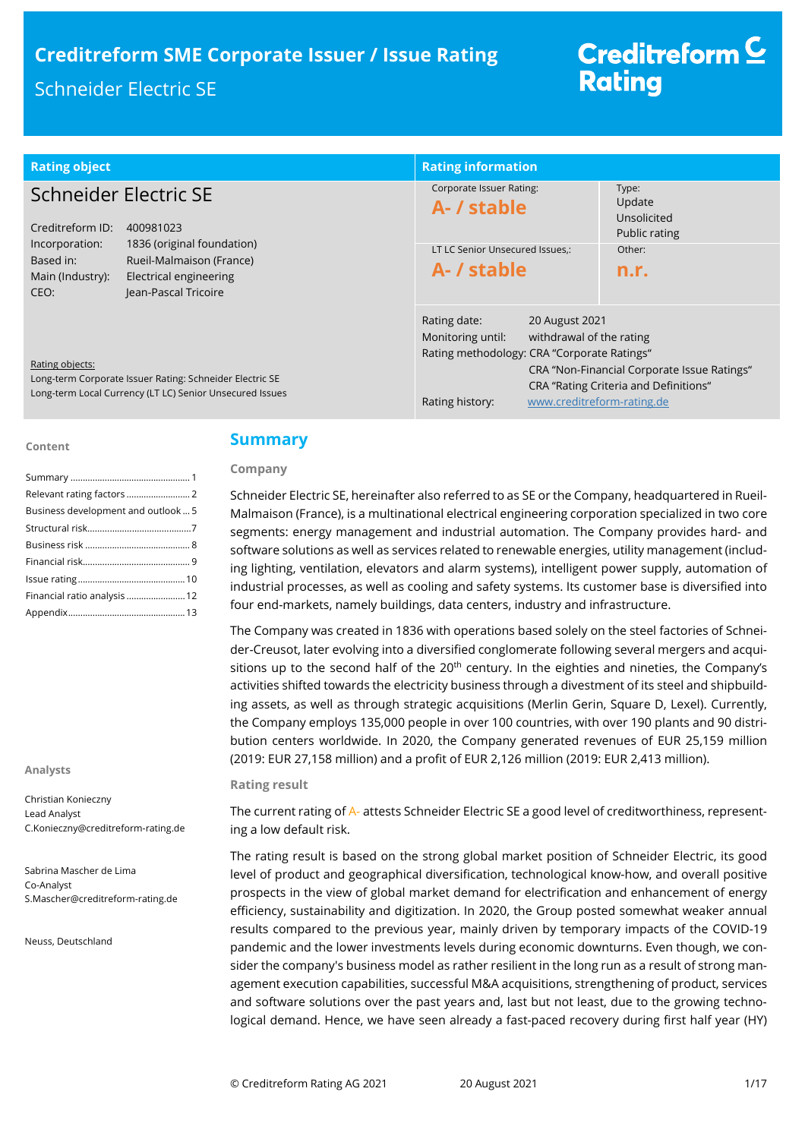| <b>Rating object</b>                                                                                                                                                | <b>Rating information</b>                                                                                                                                                       |                                                                                      |
|---------------------------------------------------------------------------------------------------------------------------------------------------------------------|---------------------------------------------------------------------------------------------------------------------------------------------------------------------------------|--------------------------------------------------------------------------------------|
| Schneider Electric SE<br>Creditreform ID:<br>400981023                                                                                                              | Corporate Issuer Rating:<br>A- / stable                                                                                                                                         | Type:<br>Update<br>Unsolicited<br>Public rating                                      |
| 1836 (original foundation)<br>Incorporation:<br>Rueil-Malmaison (France)<br>Based in:<br>Main (Industry):<br>Electrical engineering<br>Jean-Pascal Tricoire<br>CEO: | LT LC Senior Unsecured Issues.:<br>A- / stable                                                                                                                                  | Other:<br>n.r.                                                                       |
| Rating objects:<br>Long-term Corporate Issuer Rating: Schneider Electric SE<br>Long-term Local Currency (LT LC) Senior Unsecured Issues                             | Rating date:<br>20 August 2021<br>Monitoring until:<br>withdrawal of the rating<br>Rating methodology: CRA "Corporate Ratings"<br>Rating history:<br>www.creditreform-rating.de | CRA "Non-Financial Corporate Issue Ratings"<br>CRA "Rating Criteria and Definitions" |

#### **Content**

| Business development and outlook 5 |
|------------------------------------|
|                                    |
|                                    |
|                                    |
|                                    |
| Financial ratio analysis  12       |
|                                    |

**Analysts**

Christian Konieczny Lead Analyst C.Konieczny@creditreform-rating.de

Sabrina Mascher de Lima Co-Analyst S.Mascher@creditreform-rating.de

Neuss, Deutschland

## **Summary**

## **Company**

Schneider Electric SE, hereinafter also referred to as SE or the Company, headquartered in Rueil-Malmaison (France), is a multinational electrical engineering corporation specialized in two core segments: energy management and industrial automation. The Company provides hard- and software solutions as well as services related to renewable energies, utility management (including lighting, ventilation, elevators and alarm systems), intelligent power supply, automation of industrial processes, as well as cooling and safety systems. Its customer base is diversified into four end-markets, namely buildings, data centers, industry and infrastructure.

The Company was created in 1836 with operations based solely on the steel factories of Schneider-Creusot, later evolving into a diversified conglomerate following several mergers and acquisitions up to the second half of the  $20<sup>th</sup>$  century. In the eighties and nineties, the Company's activities shifted towards the electricity business through a divestment of its steel and shipbuilding assets, as well as through strategic acquisitions (Merlin Gerin, Square D, Lexel). Currently, the Company employs 135,000 people in over 100 countries, with over 190 plants and 90 distribution centers worldwide. In 2020, the Company generated revenues of EUR 25,159 million (2019: EUR 27,158 million) and a profit of EUR 2,126 million (2019: EUR 2,413 million).

#### **Rating result**

The current rating of A- attests Schneider Electric SE a good level of creditworthiness, representing a low default risk.

The rating result is based on the strong global market position of Schneider Electric, its good level of product and geographical diversification, technological know-how, and overall positive prospects in the view of global market demand for electrification and enhancement of energy efficiency, sustainability and digitization. In 2020, the Group posted somewhat weaker annual results compared to the previous year, mainly driven by temporary impacts of the COVID-19 pandemic and the lower investments levels during economic downturns. Even though, we consider the company's business model as rather resilient in the long run as a result of strong management execution capabilities, successful M&A acquisitions, strengthening of product, services and software solutions over the past years and, last but not least, due to the growing technological demand. Hence, we have seen already a fast-paced recovery during first half year (HY)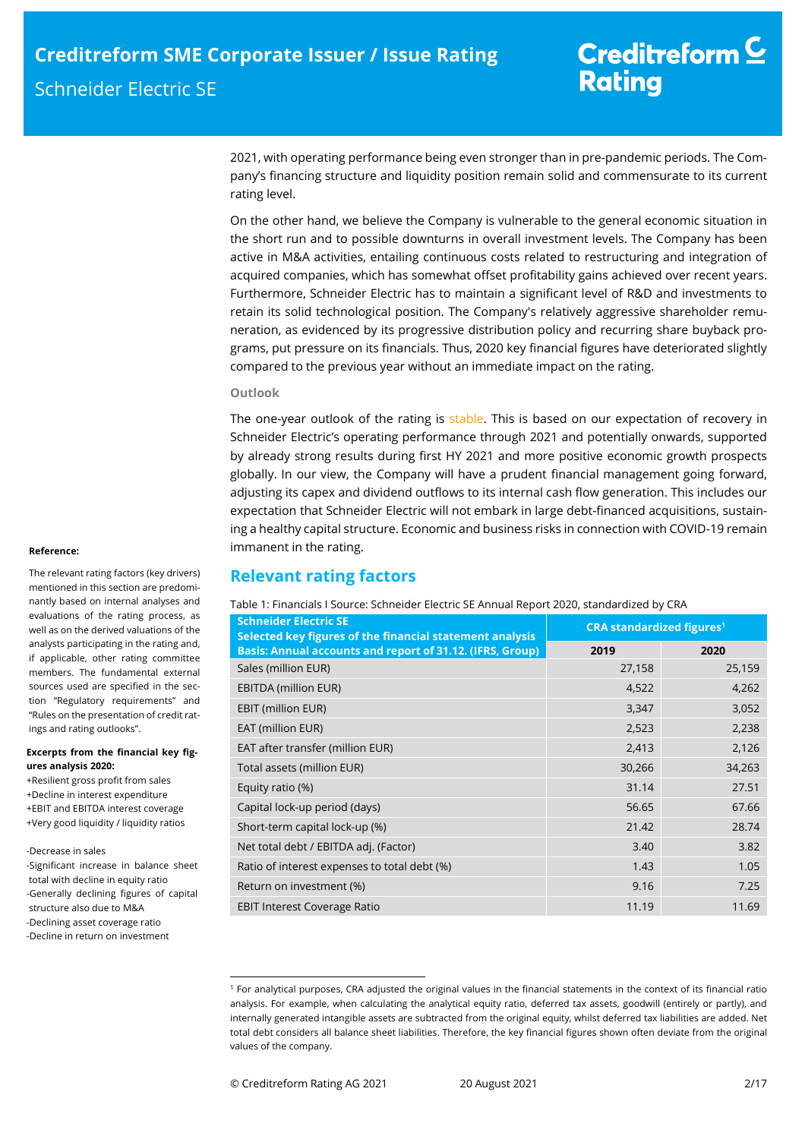2021, with operating performance being even stronger than in pre-pandemic periods. The Company's financing structure and liquidity position remain solid and commensurate to its current rating level.

On the other hand, we believe the Company is vulnerable to the general economic situation in the short run and to possible downturns in overall investment levels. The Company has been active in M&A activities, entailing continuous costs related to restructuring and integration of acquired companies, which has somewhat offset profitability gains achieved over recent years. Furthermore, Schneider Electric has to maintain a significant level of R&D and investments to retain its solid technological position. The Company's relatively aggressive shareholder remuneration, as evidenced by its progressive distribution policy and recurring share buyback programs, put pressure on its financials. Thus, 2020 key financial figures have deteriorated slightly compared to the previous year without an immediate impact on the rating.

### **Outlook**

The one-year outlook of the rating is stable. This is based on our expectation of recovery in Schneider Electric's operating performance through 2021 and potentially onwards, supported by already strong results during first HY 2021 and more positive economic growth prospects globally. In our view, the Company will have a prudent financial management going forward, adjusting its capex and dividend outflows to its internal cash flow generation. This includes our expectation that Schneider Electric will not embark in large debt-financed acquisitions, sustaining a healthy capital structure. Economic and business risks in connection with COVID-19 remain immanent in the rating.

# **Relevant rating factors**

Table 1: Financials I Source: Schneider Electric SE Annual Report 2020, standardized by CRA

| <b>Schneider Electric SE</b><br>Selected key figures of the financial statement analysis | <b>CRA standardized figures<sup>1</sup></b> |        |  |
|------------------------------------------------------------------------------------------|---------------------------------------------|--------|--|
| Basis: Annual accounts and report of 31.12. (IFRS, Group)                                | 2019                                        | 2020   |  |
| Sales (million EUR)                                                                      | 27,158                                      | 25,159 |  |
| <b>EBITDA (million EUR)</b>                                                              | 4,522                                       | 4,262  |  |
| EBIT (million EUR)                                                                       | 3,347                                       | 3,052  |  |
| EAT (million EUR)                                                                        | 2,523                                       | 2,238  |  |
| EAT after transfer (million EUR)                                                         | 2,413                                       | 2,126  |  |
| Total assets (million EUR)                                                               | 30,266                                      | 34,263 |  |
| Equity ratio (%)                                                                         | 31.14                                       | 27.51  |  |
| Capital lock-up period (days)                                                            | 56.65                                       | 67.66  |  |
| Short-term capital lock-up (%)                                                           | 21.42                                       | 28.74  |  |
| Net total debt / EBITDA adj. (Factor)                                                    | 3.40                                        | 3.82   |  |
| Ratio of interest expenses to total debt (%)                                             | 1.43                                        | 1.05   |  |
| Return on investment (%)                                                                 | 9.16                                        | 7.25   |  |
| <b>EBIT Interest Coverage Ratio</b>                                                      | 11.19                                       | 11.69  |  |

#### **Reference:**

The relevant rating factors (key drivers) mentioned in this section are predominantly based on internal analyses and evaluations of the rating process, as well as on the derived valuations of the analysts participating in the rating and, if applicable, other rating committee members. The fundamental external sources used are specified in the section "Regulatory requirements" and "Rules on the presentation of credit ratings and rating outlooks".

#### **Excerpts from the financial key figures analysis 2020:**

+Resilient gross profit from sales +Decline in interest expenditure

- +EBIT and EBITDA interest coverage
- +Very good liquidity / liquidity ratios

-Decrease in sales

-Significant increase in balance sheet total with decline in equity ratio -Generally declining figures of capital structure also due to M&A -Declining asset coverage ratio -Decline in return on investment

j

<sup>1</sup> For analytical purposes, CRA adjusted the original values in the financial statements in the context of its financial ratio analysis. For example, when calculating the analytical equity ratio, deferred tax assets, goodwill (entirely or partly), and internally generated intangible assets are subtracted from the original equity, whilst deferred tax liabilities are added. Net total debt considers all balance sheet liabilities. Therefore, the key financial figures shown often deviate from the original values of the company.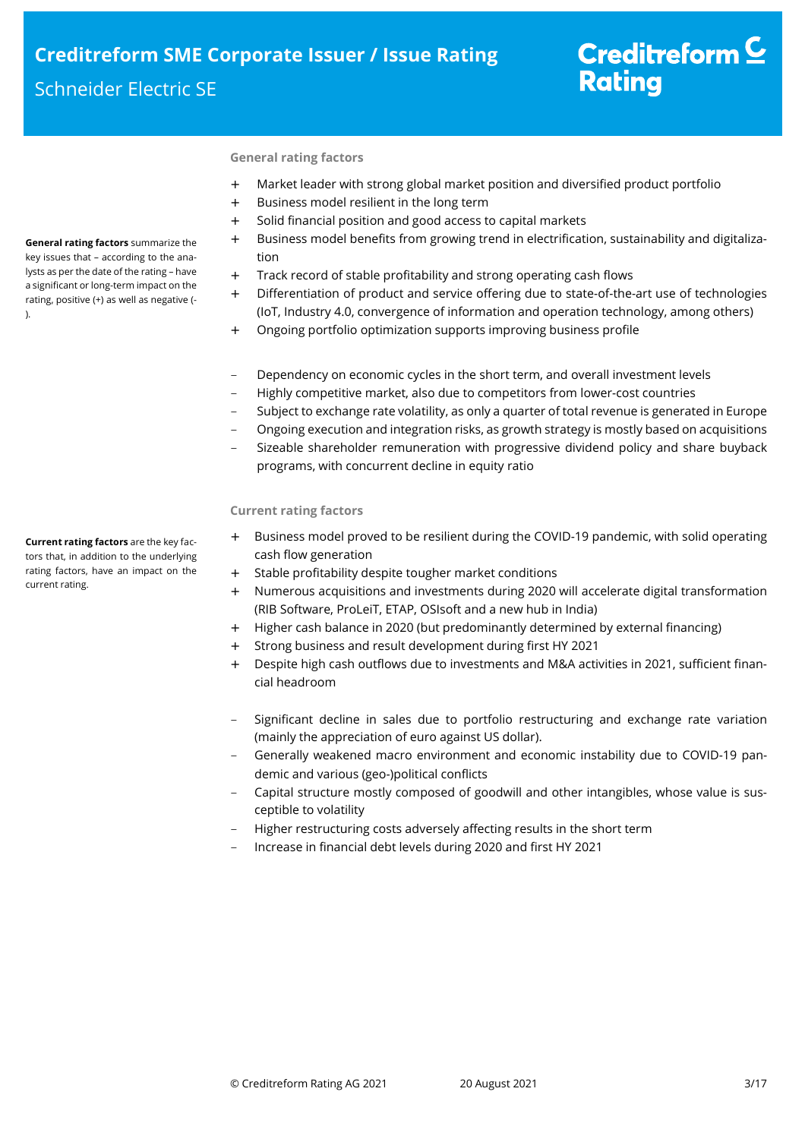# Creditreform  $\underline{\mathsf{C}}$ **Rating**

## **General rating factors**

- + Market leader with strong global market position and diversified product portfolio
- + Business model resilient in the long term
- + Solid financial position and good access to capital markets
- + Business model benefits from growing trend in electrification, sustainability and digitalization
- + Track record of stable profitability and strong operating cash flows
- + Differentiation of product and service offering due to state-of-the-art use of technologies (IoT, Industry 4.0, convergence of information and operation technology, among others)
- + Ongoing portfolio optimization supports improving business profile
- Dependency on economic cycles in the short term, and overall investment levels
- Highly competitive market, also due to competitors from lower-cost countries
- Subject to exchange rate volatility, as only a quarter of total revenue is generated in Europe
- Ongoing execution and integration risks, as growth strategy is mostly based on acquisitions
- Sizeable shareholder remuneration with progressive dividend policy and share buyback programs, with concurrent decline in equity ratio

## **Current rating factors**

- + Business model proved to be resilient during the COVID-19 pandemic, with solid operating cash flow generation
- + Stable profitability despite tougher market conditions
- + Numerous acquisitions and investments during 2020 will accelerate digital transformation (RIB Software, ProLeiT, ETAP, OSIsoft and a new hub in India)
- + Higher cash balance in 2020 (but predominantly determined by external financing)
- + Strong business and result development during first HY 2021
- + Despite high cash outflows due to investments and M&A activities in 2021, sufficient financial headroom
- Significant decline in sales due to portfolio restructuring and exchange rate variation (mainly the appreciation of euro against US dollar).
- Generally weakened macro environment and economic instability due to COVID-19 pandemic and various (geo-)political conflicts
- Capital structure mostly composed of goodwill and other intangibles, whose value is susceptible to volatility
- Higher restructuring costs adversely affecting results in the short term
- Increase in financial debt levels during 2020 and first HY 2021

**General rating factors** summarize the key issues that – according to the analysts as per the date of the rating – have a significant or long-term impact on the rating, positive (+) as well as negative (- ).

**Current rating factors** are the key factors that, in addition to the underlying rating factors, have an impact on the current rating.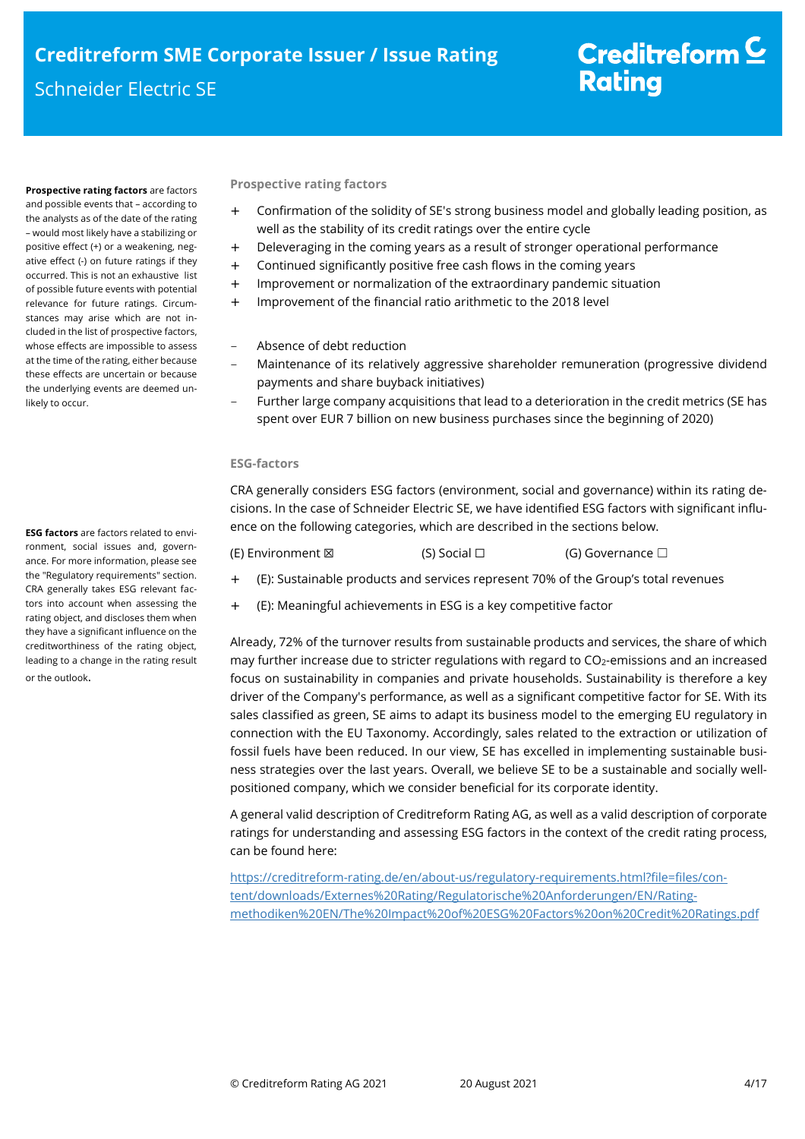**Prospective rating factors** are factors and possible events that – according to the analysts as of the date of the rating – would most likely have a stabilizing or positive effect (+) or a weakening, negative effect (-) on future ratings if they occurred. This is not an exhaustive list of possible future events with potential relevance for future ratings. Circumstances may arise which are not included in the list of prospective factors, whose effects are impossible to assess at the time of the rating, either because these effects are uncertain or because the underlying events are deemed unlikely to occur.

### **ESG factors** are factors related to environment, social issues and, governance. For more information, please see the "Regulatory requirements" section. CRA generally takes ESG relevant factors into account when assessing the rating object, and discloses them when they have a significant influence on the creditworthiness of the rating object, leading to a change in the rating result or the outlook.

**Prospective rating factors** 

- + Confirmation of the solidity of SE's strong business model and globally leading position, as well as the stability of its credit ratings over the entire cycle
- + Deleveraging in the coming years as a result of stronger operational performance
- + Continued significantly positive free cash flows in the coming years
- + Improvement or normalization of the extraordinary pandemic situation
- + Improvement of the financial ratio arithmetic to the 2018 level
- Absence of debt reduction
- Maintenance of its relatively aggressive shareholder remuneration (progressive dividend payments and share buyback initiatives)
- Further large company acquisitions that lead to a deterioration in the credit metrics (SE has spent over EUR 7 billion on new business purchases since the beginning of 2020)

## **ESG-factors**

CRA generally considers ESG factors (environment, social and governance) within its rating decisions. In the case of Schneider Electric SE, we have identified ESG factors with significant influence on the following categories, which are described in the sections below.

(E) Environment ⊠ (S) Social □ (G) Governance □

- + (E): Sustainable products and services represent 70% of the Group's total revenues
- + (E): Meaningful achievements in ESG is a key competitive factor

Already, 72% of the turnover results from sustainable products and services, the share of which may further increase due to stricter regulations with regard to CO<sub>2</sub>-emissions and an increased focus on sustainability in companies and private households. Sustainability is therefore a key driver of the Company's performance, as well as a significant competitive factor for SE. With its sales classified as green, SE aims to adapt its business model to the emerging EU regulatory in connection with the EU Taxonomy. Accordingly, sales related to the extraction or utilization of fossil fuels have been reduced. In our view, SE has excelled in implementing sustainable business strategies over the last years. Overall, we believe SE to be a sustainable and socially wellpositioned company, which we consider beneficial for its corporate identity.

A general valid description of Creditreform Rating AG, as well as a valid description of corporate ratings for understanding and assessing ESG factors in the context of the credit rating process, can be found here:

https://creditreform-rating.de/en/about-us/regulatory-requirements.html?file=files/content/downloads/Externes%20Rating/Regulatorische%20Anforderungen/EN/Ratingmethodiken%20EN/The%20Impact%20of%20ESG%20Factors%20on%20Credit%20Ratings.pdf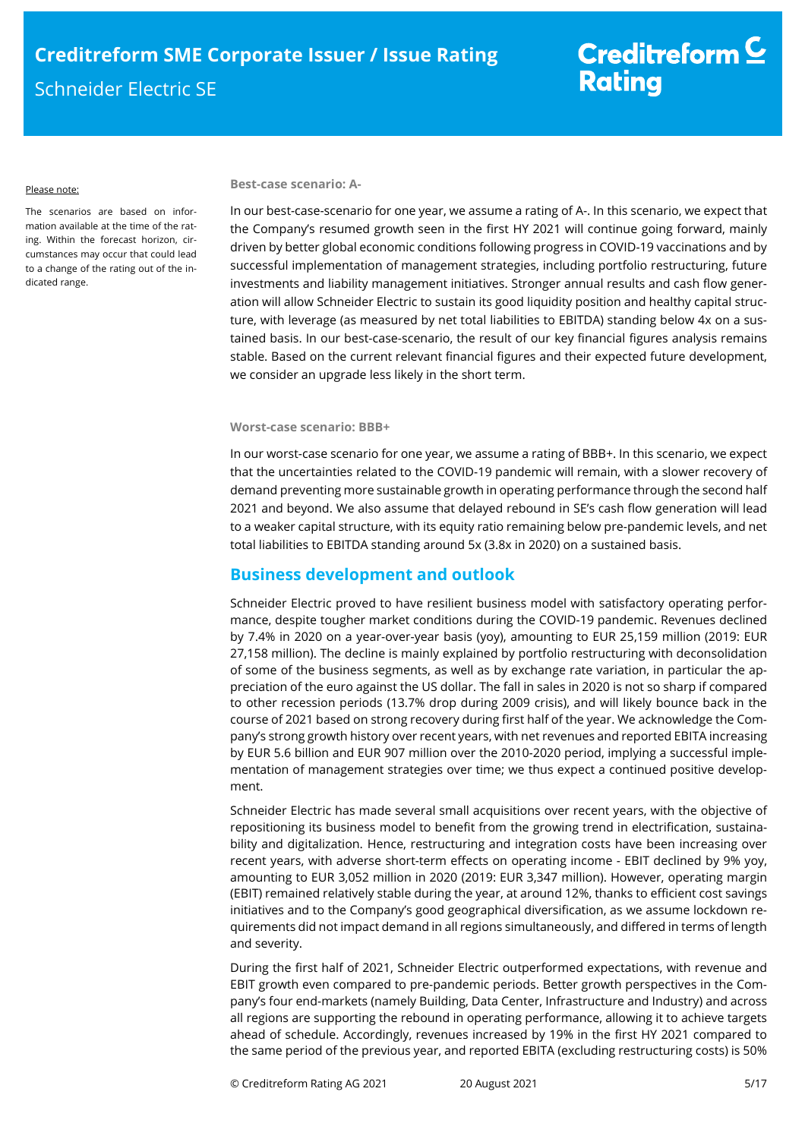#### Please note:

The scenarios are based on information available at the time of the rating. Within the forecast horizon, circumstances may occur that could lead to a change of the rating out of the indicated range.

#### **Best-case scenario: A-**

In our best-case-scenario for one year, we assume a rating of A-. In this scenario, we expect that the Company's resumed growth seen in the first HY 2021 will continue going forward, mainly driven by better global economic conditions following progress in COVID-19 vaccinations and by successful implementation of management strategies, including portfolio restructuring, future investments and liability management initiatives. Stronger annual results and cash flow generation will allow Schneider Electric to sustain its good liquidity position and healthy capital structure, with leverage (as measured by net total liabilities to EBITDA) standing below 4x on a sustained basis. In our best-case-scenario, the result of our key financial figures analysis remains stable. Based on the current relevant financial figures and their expected future development, we consider an upgrade less likely in the short term.

## **Worst-case scenario: BBB+**

In our worst-case scenario for one year, we assume a rating of BBB+. In this scenario, we expect that the uncertainties related to the COVID-19 pandemic will remain, with a slower recovery of demand preventing more sustainable growth in operating performance through the second half 2021 and beyond. We also assume that delayed rebound in SE's cash flow generation will lead to a weaker capital structure, with its equity ratio remaining below pre-pandemic levels, and net total liabilities to EBITDA standing around 5x (3.8x in 2020) on a sustained basis.

# **Business development and outlook**

Schneider Electric proved to have resilient business model with satisfactory operating performance, despite tougher market conditions during the COVID-19 pandemic. Revenues declined by 7.4% in 2020 on a year-over-year basis (yoy), amounting to EUR 25,159 million (2019: EUR 27,158 million). The decline is mainly explained by portfolio restructuring with deconsolidation of some of the business segments, as well as by exchange rate variation, in particular the appreciation of the euro against the US dollar. The fall in sales in 2020 is not so sharp if compared to other recession periods (13.7% drop during 2009 crisis), and will likely bounce back in the course of 2021 based on strong recovery during first half of the year. We acknowledge the Company's strong growth history over recent years, with net revenues and reported EBITA increasing by EUR 5.6 billion and EUR 907 million over the 2010-2020 period, implying a successful implementation of management strategies over time; we thus expect a continued positive development.

Schneider Electric has made several small acquisitions over recent years, with the objective of repositioning its business model to benefit from the growing trend in electrification, sustainability and digitalization. Hence, restructuring and integration costs have been increasing over recent years, with adverse short-term effects on operating income - EBIT declined by 9% yoy, amounting to EUR 3,052 million in 2020 (2019: EUR 3,347 million). However, operating margin (EBIT) remained relatively stable during the year, at around 12%, thanks to efficient cost savings initiatives and to the Company's good geographical diversification, as we assume lockdown requirements did not impact demand in all regions simultaneously, and differed in terms of length and severity.

During the first half of 2021, Schneider Electric outperformed expectations, with revenue and EBIT growth even compared to pre-pandemic periods. Better growth perspectives in the Company's four end-markets (namely Building, Data Center, Infrastructure and Industry) and across all regions are supporting the rebound in operating performance, allowing it to achieve targets ahead of schedule. Accordingly, revenues increased by 19% in the first HY 2021 compared to the same period of the previous year, and reported EBITA (excluding restructuring costs) is 50%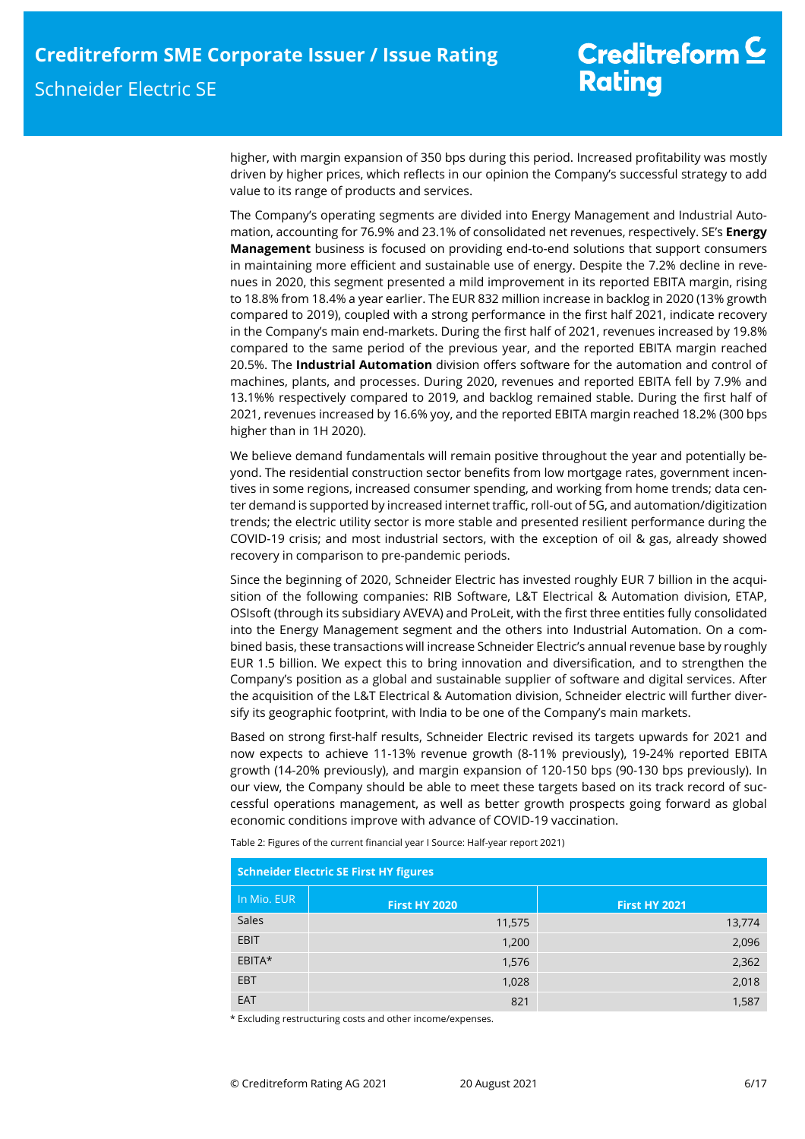higher, with margin expansion of 350 bps during this period. Increased profitability was mostly driven by higher prices, which reflects in our opinion the Company's successful strategy to add value to its range of products and services.

The Company's operating segments are divided into Energy Management and Industrial Automation, accounting for 76.9% and 23.1% of consolidated net revenues, respectively. SE's **Energy Management** business is focused on providing end-to-end solutions that support consumers in maintaining more efficient and sustainable use of energy. Despite the 7.2% decline in revenues in 2020, this segment presented a mild improvement in its reported EBITA margin, rising to 18.8% from 18.4% a year earlier. The EUR 832 million increase in backlog in 2020 (13% growth compared to 2019), coupled with a strong performance in the first half 2021, indicate recovery in the Company's main end-markets. During the first half of 2021, revenues increased by 19.8% compared to the same period of the previous year, and the reported EBITA margin reached 20.5%. The **Industrial Automation** division offers software for the automation and control of machines, plants, and processes. During 2020, revenues and reported EBITA fell by 7.9% and 13.1%% respectively compared to 2019, and backlog remained stable. During the first half of 2021, revenues increased by 16.6% yoy, and the reported EBITA margin reached 18.2% (300 bps higher than in 1H 2020).

We believe demand fundamentals will remain positive throughout the year and potentially beyond. The residential construction sector benefits from low mortgage rates, government incentives in some regions, increased consumer spending, and working from home trends; data center demand is supported by increased internet traffic, roll-out of 5G, and automation/digitization trends; the electric utility sector is more stable and presented resilient performance during the COVID-19 crisis; and most industrial sectors, with the exception of oil & gas, already showed recovery in comparison to pre-pandemic periods.

Since the beginning of 2020, Schneider Electric has invested roughly EUR 7 billion in the acquisition of the following companies: RIB Software, L&T Electrical & Automation division, ETAP, OSIsoft (through its subsidiary AVEVA) and ProLeit, with the first three entities fully consolidated into the Energy Management segment and the others into Industrial Automation. On a combined basis, these transactions will increase Schneider Electric's annual revenue base by roughly EUR 1.5 billion. We expect this to bring innovation and diversification, and to strengthen the Company's position as a global and sustainable supplier of software and digital services. After the acquisition of the L&T Electrical & Automation division, Schneider electric will further diversify its geographic footprint, with India to be one of the Company's main markets.

Based on strong first-half results, Schneider Electric revised its targets upwards for 2021 and now expects to achieve 11-13% revenue growth (8-11% previously), 19-24% reported EBITA growth (14-20% previously), and margin expansion of 120-150 bps (90-130 bps previously). In our view, the Company should be able to meet these targets based on its track record of successful operations management, as well as better growth prospects going forward as global economic conditions improve with advance of COVID-19 vaccination.

Table 2: Figures of the current financial year I Source: Half-year report 2021)

|             | <b>Schneider Electric SE First HY figures</b> |                      |
|-------------|-----------------------------------------------|----------------------|
| In Mio. EUR | <b>First HY 2020</b>                          | <b>First HY 2021</b> |
| Sales       | 11,575                                        | 13,774               |
| <b>EBIT</b> | 1,200                                         | 2,096                |
| EBITA*      | 1,576                                         | 2,362                |
| <b>EBT</b>  | 1,028                                         | 2,018                |
| EAT         | 821                                           | 1,587                |

\* Excluding restructuring costs and other income/expenses.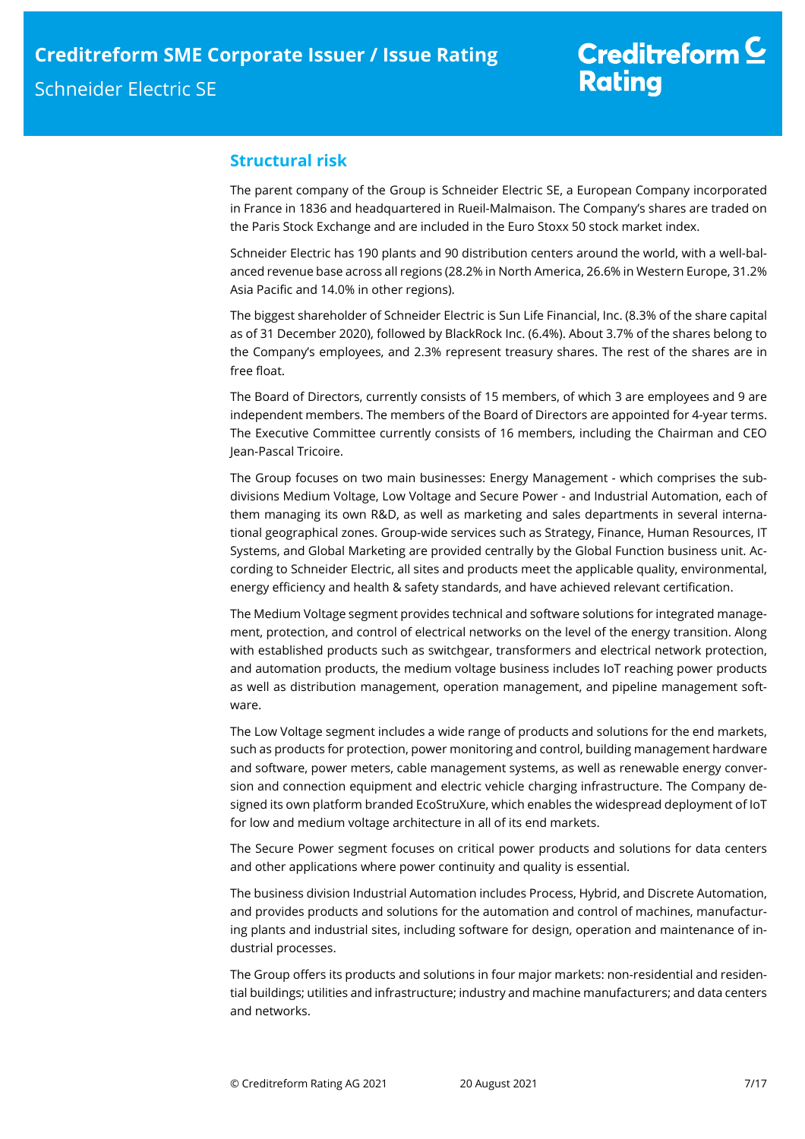# **Structural risk**

The parent company of the Group is Schneider Electric SE, a European Company incorporated in France in 1836 and headquartered in Rueil-Malmaison. The Company's shares are traded on the Paris Stock Exchange and are included in the Euro Stoxx 50 stock market index.

Schneider Electric has 190 plants and 90 distribution centers around the world, with a well-balanced revenue base across all regions (28.2% in North America, 26.6% in Western Europe, 31.2% Asia Pacific and 14.0% in other regions).

The biggest shareholder of Schneider Electric is Sun Life Financial, Inc. (8.3% of the share capital as of 31 December 2020), followed by BlackRock Inc. (6.4%). About 3.7% of the shares belong to the Company's employees, and 2.3% represent treasury shares. The rest of the shares are in free float.

The Board of Directors, currently consists of 15 members, of which 3 are employees and 9 are independent members. The members of the Board of Directors are appointed for 4-year terms. The Executive Committee currently consists of 16 members, including the Chairman and CEO Jean-Pascal Tricoire.

The Group focuses on two main businesses: Energy Management - which comprises the subdivisions Medium Voltage, Low Voltage and Secure Power - and Industrial Automation, each of them managing its own R&D, as well as marketing and sales departments in several international geographical zones. Group-wide services such as Strategy, Finance, Human Resources, IT Systems, and Global Marketing are provided centrally by the Global Function business unit. According to Schneider Electric, all sites and products meet the applicable quality, environmental, energy efficiency and health & safety standards, and have achieved relevant certification.

The Medium Voltage segment provides technical and software solutions for integrated management, protection, and control of electrical networks on the level of the energy transition. Along with established products such as switchgear, transformers and electrical network protection, and automation products, the medium voltage business includes IoT reaching power products as well as distribution management, operation management, and pipeline management software.

The Low Voltage segment includes a wide range of products and solutions for the end markets, such as products for protection, power monitoring and control, building management hardware and software, power meters, cable management systems, as well as renewable energy conversion and connection equipment and electric vehicle charging infrastructure. The Company designed its own platform branded EcoStruXure, which enables the widespread deployment of IoT for low and medium voltage architecture in all of its end markets.

The Secure Power segment focuses on critical power products and solutions for data centers and other applications where power continuity and quality is essential.

The business division Industrial Automation includes Process, Hybrid, and Discrete Automation, and provides products and solutions for the automation and control of machines, manufacturing plants and industrial sites, including software for design, operation and maintenance of industrial processes.

The Group offers its products and solutions in four major markets: non-residential and residential buildings; utilities and infrastructure; industry and machine manufacturers; and data centers and networks.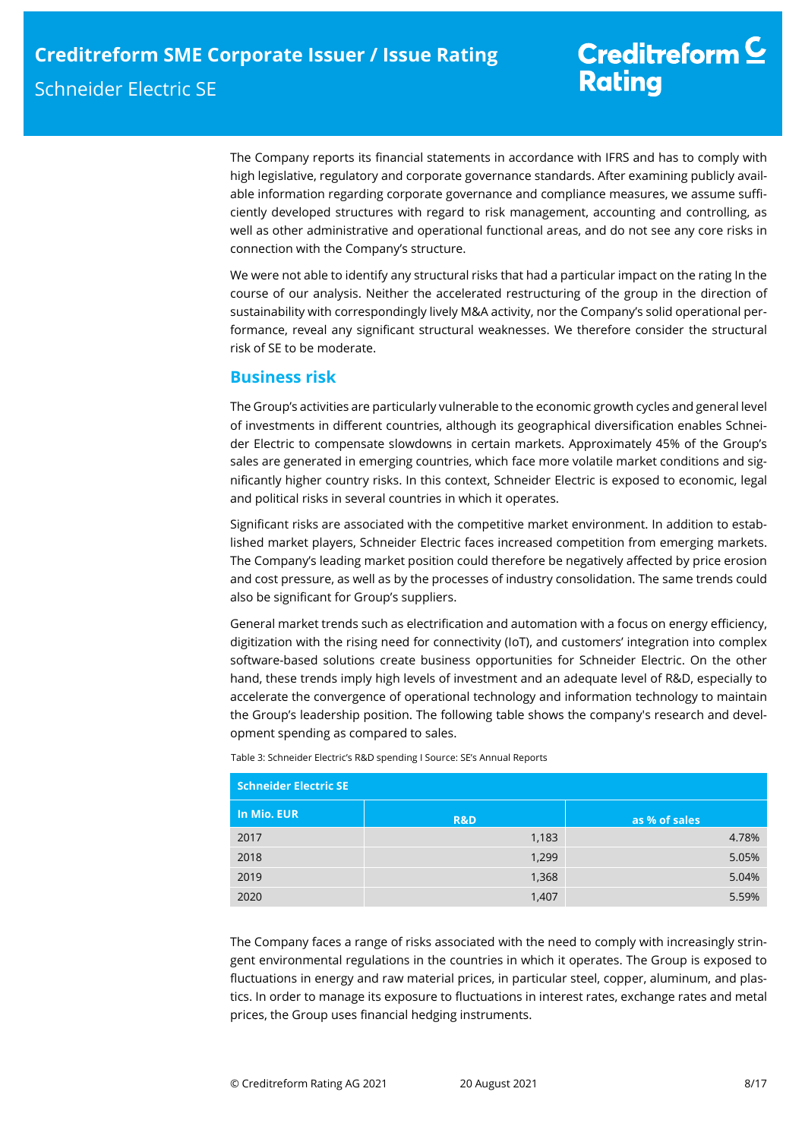The Company reports its financial statements in accordance with IFRS and has to comply with high legislative, regulatory and corporate governance standards. After examining publicly available information regarding corporate governance and compliance measures, we assume sufficiently developed structures with regard to risk management, accounting and controlling, as well as other administrative and operational functional areas, and do not see any core risks in connection with the Company's structure.

We were not able to identify any structural risks that had a particular impact on the rating In the course of our analysis. Neither the accelerated restructuring of the group in the direction of sustainability with correspondingly lively M&A activity, nor the Company's solid operational performance, reveal any significant structural weaknesses. We therefore consider the structural risk of SE to be moderate.

# **Business risk**

The Group's activities are particularly vulnerable to the economic growth cycles and general level of investments in different countries, although its geographical diversification enables Schneider Electric to compensate slowdowns in certain markets. Approximately 45% of the Group's sales are generated in emerging countries, which face more volatile market conditions and significantly higher country risks. In this context, Schneider Electric is exposed to economic, legal and political risks in several countries in which it operates.

Significant risks are associated with the competitive market environment. In addition to established market players, Schneider Electric faces increased competition from emerging markets. The Company's leading market position could therefore be negatively affected by price erosion and cost pressure, as well as by the processes of industry consolidation. The same trends could also be significant for Group's suppliers.

General market trends such as electrification and automation with a focus on energy efficiency, digitization with the rising need for connectivity (IoT), and customers' integration into complex software-based solutions create business opportunities for Schneider Electric. On the other hand, these trends imply high levels of investment and an adequate level of R&D, especially to accelerate the convergence of operational technology and information technology to maintain the Group's leadership position. The following table shows the company's research and development spending as compared to sales.

Table 3: Schneider Electric's R&D spending I Source: SE's Annual Reports

| <b>Schneider Electric SE</b> |                |               |
|------------------------------|----------------|---------------|
| In Mio. EUR                  | <b>R&amp;D</b> | as % of sales |
| 2017                         | 1,183          | 4.78%         |
| 2018                         | 1,299          | 5.05%         |
| 2019                         | 1,368          | 5.04%         |
| 2020                         | 1,407          | 5.59%         |

The Company faces a range of risks associated with the need to comply with increasingly stringent environmental regulations in the countries in which it operates. The Group is exposed to fluctuations in energy and raw material prices, in particular steel, copper, aluminum, and plastics. In order to manage its exposure to fluctuations in interest rates, exchange rates and metal prices, the Group uses financial hedging instruments.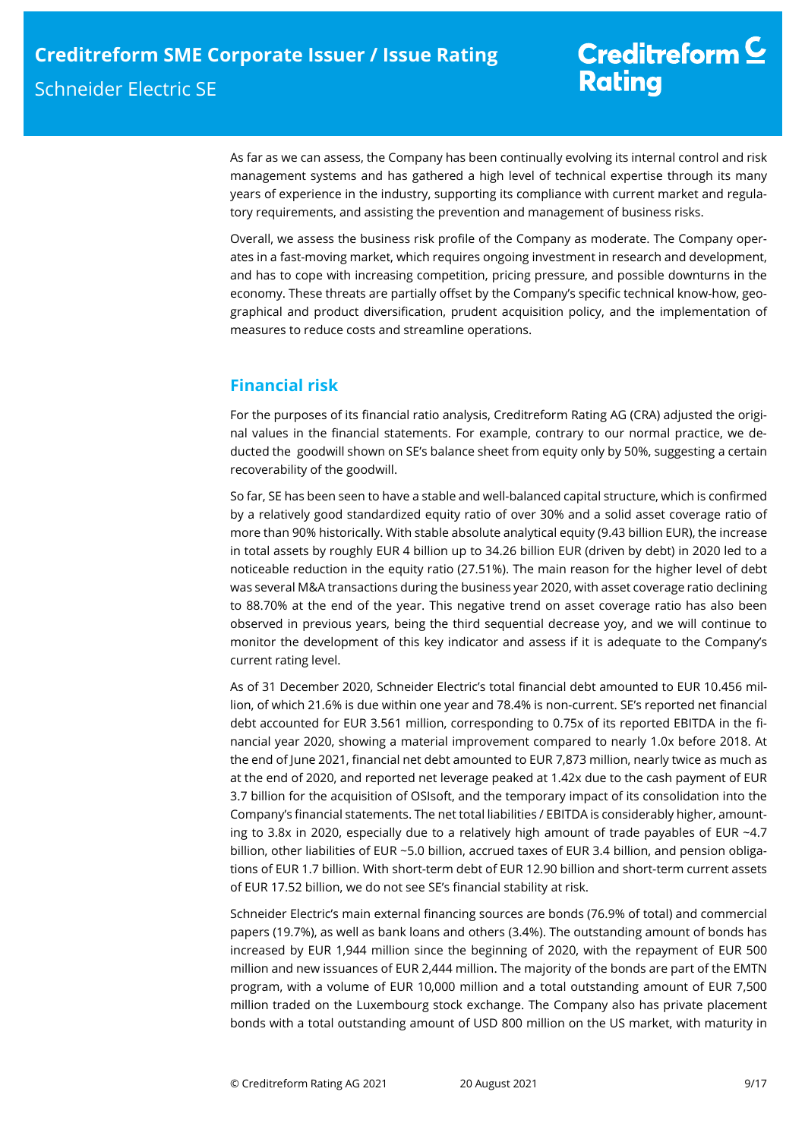As far as we can assess, the Company has been continually evolving its internal control and risk management systems and has gathered a high level of technical expertise through its many years of experience in the industry, supporting its compliance with current market and regulatory requirements, and assisting the prevention and management of business risks.

Overall, we assess the business risk profile of the Company as moderate. The Company operates in a fast-moving market, which requires ongoing investment in research and development, and has to cope with increasing competition, pricing pressure, and possible downturns in the economy. These threats are partially offset by the Company's specific technical know-how, geographical and product diversification, prudent acquisition policy, and the implementation of measures to reduce costs and streamline operations.

# **Financial risk**

For the purposes of its financial ratio analysis, Creditreform Rating AG (CRA) adjusted the original values in the financial statements. For example, contrary to our normal practice, we deducted the goodwill shown on SE's balance sheet from equity only by 50%, suggesting a certain recoverability of the goodwill.

So far, SE has been seen to have a stable and well-balanced capital structure, which is confirmed by a relatively good standardized equity ratio of over 30% and a solid asset coverage ratio of more than 90% historically. With stable absolute analytical equity (9.43 billion EUR), the increase in total assets by roughly EUR 4 billion up to 34.26 billion EUR (driven by debt) in 2020 led to a noticeable reduction in the equity ratio (27.51%). The main reason for the higher level of debt was several M&A transactions during the business year 2020, with asset coverage ratio declining to 88.70% at the end of the year. This negative trend on asset coverage ratio has also been observed in previous years, being the third sequential decrease yoy, and we will continue to monitor the development of this key indicator and assess if it is adequate to the Company's current rating level.

As of 31 December 2020, Schneider Electric's total financial debt amounted to EUR 10.456 million, of which 21.6% is due within one year and 78.4% is non-current. SE's reported net financial debt accounted for EUR 3.561 million, corresponding to 0.75x of its reported EBITDA in the financial year 2020, showing a material improvement compared to nearly 1.0x before 2018. At the end of June 2021, financial net debt amounted to EUR 7,873 million, nearly twice as much as at the end of 2020, and reported net leverage peaked at 1.42x due to the cash payment of EUR 3.7 billion for the acquisition of OSIsoft, and the temporary impact of its consolidation into the Company's financial statements. The net total liabilities / EBITDA is considerably higher, amounting to 3.8x in 2020, especially due to a relatively high amount of trade payables of EUR ~4.7 billion, other liabilities of EUR ~5.0 billion, accrued taxes of EUR 3.4 billion, and pension obligations of EUR 1.7 billion. With short-term debt of EUR 12.90 billion and short-term current assets of EUR 17.52 billion, we do not see SE's financial stability at risk.

Schneider Electric's main external financing sources are bonds (76.9% of total) and commercial papers (19.7%), as well as bank loans and others (3.4%). The outstanding amount of bonds has increased by EUR 1,944 million since the beginning of 2020, with the repayment of EUR 500 million and new issuances of EUR 2,444 million. The majority of the bonds are part of the EMTN program, with a volume of EUR 10,000 million and a total outstanding amount of EUR 7,500 million traded on the Luxembourg stock exchange. The Company also has private placement bonds with a total outstanding amount of USD 800 million on the US market, with maturity in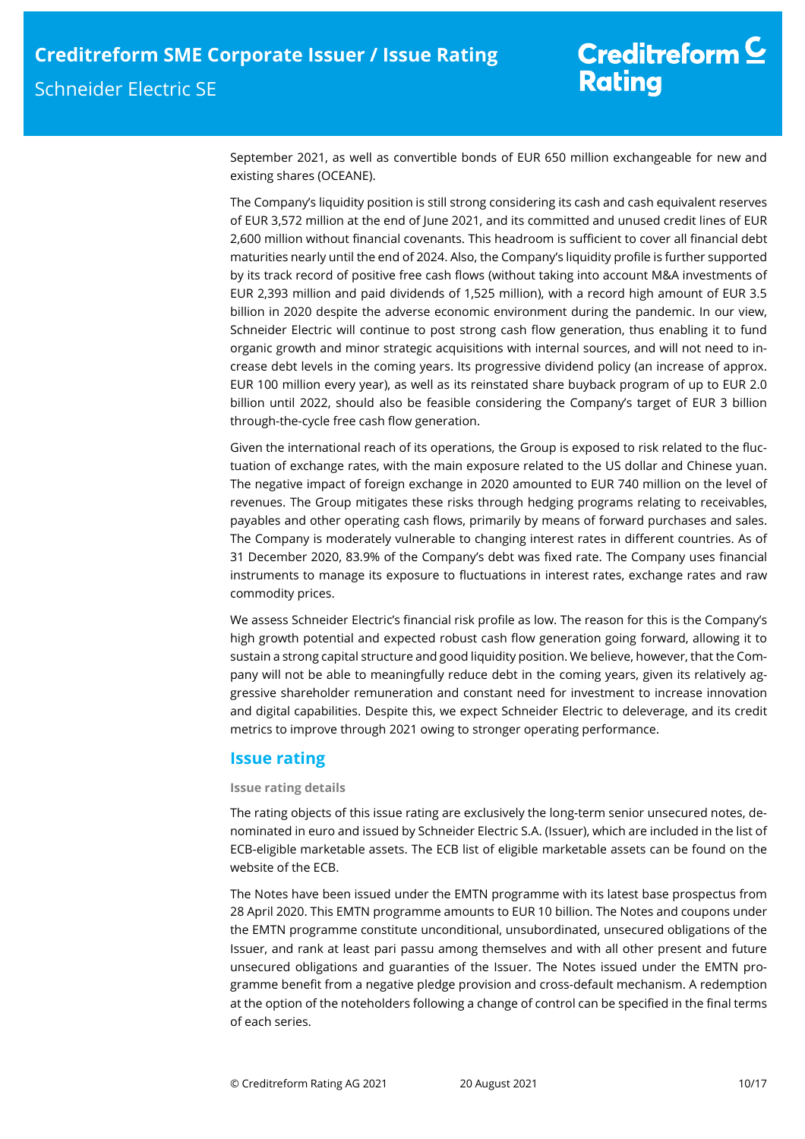September 2021, as well as convertible bonds of EUR 650 million exchangeable for new and existing shares (OCEANE).

The Company's liquidity position is still strong considering its cash and cash equivalent reserves of EUR 3,572 million at the end of June 2021, and its committed and unused credit lines of EUR 2,600 million without financial covenants. This headroom is sufficient to cover all financial debt maturities nearly until the end of 2024. Also, the Company's liquidity profile is further supported by its track record of positive free cash flows (without taking into account M&A investments of EUR 2,393 million and paid dividends of 1,525 million), with a record high amount of EUR 3.5 billion in 2020 despite the adverse economic environment during the pandemic. In our view, Schneider Electric will continue to post strong cash flow generation, thus enabling it to fund organic growth and minor strategic acquisitions with internal sources, and will not need to increase debt levels in the coming years. Its progressive dividend policy (an increase of approx. EUR 100 million every year), as well as its reinstated share buyback program of up to EUR 2.0 billion until 2022, should also be feasible considering the Company's target of EUR 3 billion through-the-cycle free cash flow generation.

Given the international reach of its operations, the Group is exposed to risk related to the fluctuation of exchange rates, with the main exposure related to the US dollar and Chinese yuan. The negative impact of foreign exchange in 2020 amounted to EUR 740 million on the level of revenues. The Group mitigates these risks through hedging programs relating to receivables, payables and other operating cash flows, primarily by means of forward purchases and sales. The Company is moderately vulnerable to changing interest rates in different countries. As of 31 December 2020, 83.9% of the Company's debt was fixed rate. The Company uses financial instruments to manage its exposure to fluctuations in interest rates, exchange rates and raw commodity prices.

We assess Schneider Electric's financial risk profile as low. The reason for this is the Company's high growth potential and expected robust cash flow generation going forward, allowing it to sustain a strong capital structure and good liquidity position. We believe, however, that the Company will not be able to meaningfully reduce debt in the coming years, given its relatively aggressive shareholder remuneration and constant need for investment to increase innovation and digital capabilities. Despite this, we expect Schneider Electric to deleverage, and its credit metrics to improve through 2021 owing to stronger operating performance.

## **Issue rating**

## **Issue rating details**

The rating objects of this issue rating are exclusively the long-term senior unsecured notes, denominated in euro and issued by Schneider Electric S.A. (Issuer), which are included in the list of ECB-eligible marketable assets. The ECB list of eligible marketable assets can be found on the website of the ECB.

The Notes have been issued under the EMTN programme with its latest base prospectus from 28 April 2020. This EMTN programme amounts to EUR 10 billion. The Notes and coupons under the EMTN programme constitute unconditional, unsubordinated, unsecured obligations of the Issuer, and rank at least pari passu among themselves and with all other present and future unsecured obligations and guaranties of the Issuer. The Notes issued under the EMTN programme benefit from a negative pledge provision and cross-default mechanism. A redemption at the option of the noteholders following a change of control can be specified in the final terms of each series.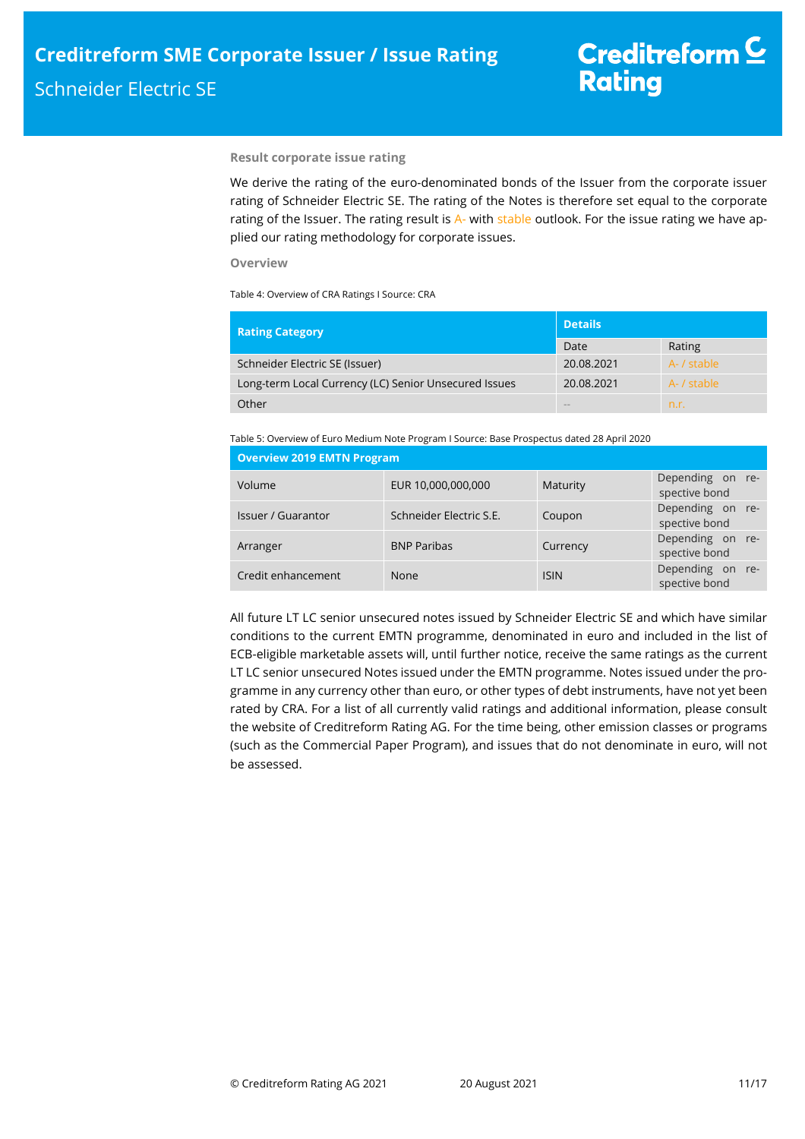## **Result corporate issue rating**

We derive the rating of the euro-denominated bonds of the Issuer from the corporate issuer rating of Schneider Electric SE. The rating of the Notes is therefore set equal to the corporate rating of the Issuer. The rating result is A- with stable outlook. For the issue rating we have applied our rating methodology for corporate issues.

## **Overview**

Table 4: Overview of CRA Ratings I Source: CRA

| <b>Rating Category</b>                                | <b>Details</b> |             |  |
|-------------------------------------------------------|----------------|-------------|--|
|                                                       | Date           | Rating      |  |
| Schneider Electric SE (Issuer)                        | 20.08.2021     | A- / stable |  |
| Long-term Local Currency (LC) Senior Unsecured Issues | 20.08.2021     | A- / stable |  |
| Other                                                 | <b>COLOR</b>   | n.r.        |  |

Table 5: Overview of Euro Medium Note Program I Source: Base Prospectus dated 28 April 2020

| <b>Overview 2019 EMTN Program</b> |                         |             |                                   |
|-----------------------------------|-------------------------|-------------|-----------------------------------|
| Volume                            | EUR 10,000,000,000      | Maturity    | Depending on re-<br>spective bond |
| Issuer / Guarantor                | Schneider Electric S.E. | Coupon      | Depending on re-<br>spective bond |
| Arranger                          | <b>BNP Paribas</b>      | Currency    | Depending on re-<br>spective bond |
| Credit enhancement                | None                    | <b>ISIN</b> | Depending on re-<br>spective bond |

All future LT LC senior unsecured notes issued by Schneider Electric SE and which have similar conditions to the current EMTN programme, denominated in euro and included in the list of ECB-eligible marketable assets will, until further notice, receive the same ratings as the current LT LC senior unsecured Notes issued under the EMTN programme. Notes issued under the programme in any currency other than euro, or other types of debt instruments, have not yet been rated by CRA. For a list of all currently valid ratings and additional information, please consult the website of Creditreform Rating AG. For the time being, other emission classes or programs (such as the Commercial Paper Program), and issues that do not denominate in euro, will not be assessed.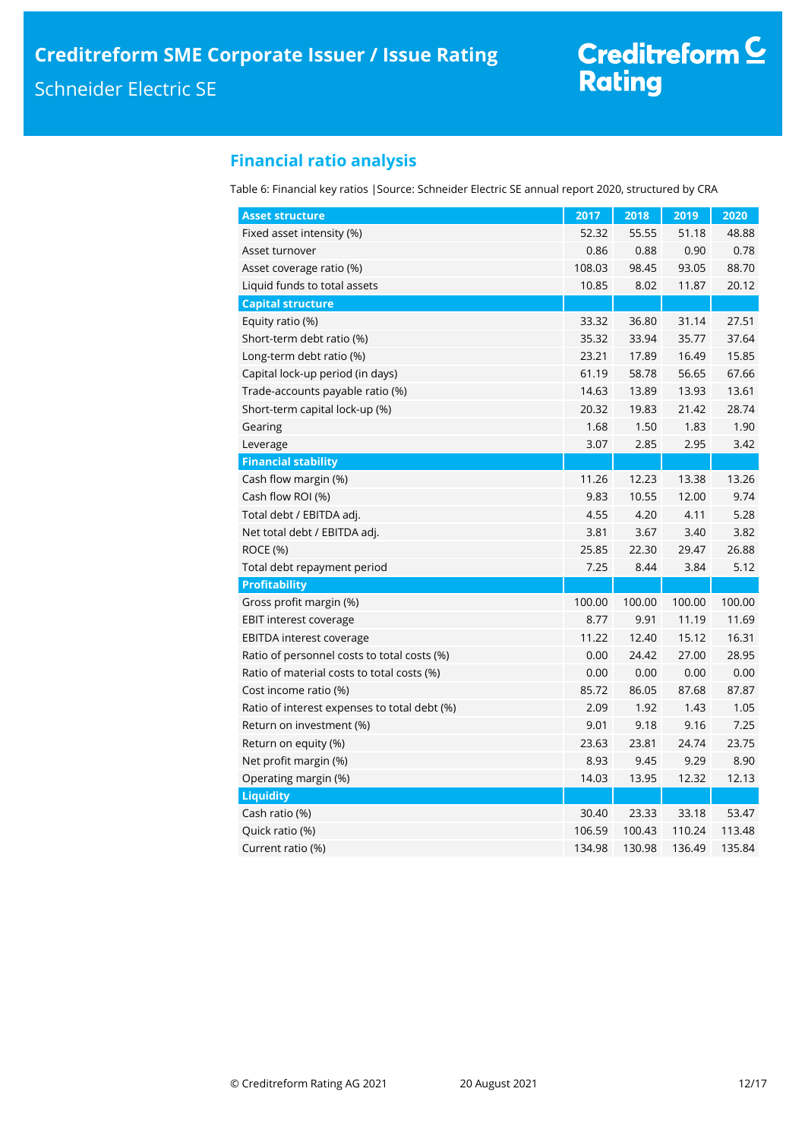# **Financial ratio analysis**

Table 6: Financial key ratios |Source: Schneider Electric SE annual report 2020, structured by CRA

| <b>Asset structure</b>                       | 2017   | 2018   | 2019   | 2020   |
|----------------------------------------------|--------|--------|--------|--------|
| Fixed asset intensity (%)                    | 52.32  | 55.55  | 51.18  | 48.88  |
| Asset turnover                               | 0.86   | 0.88   | 0.90   | 0.78   |
| Asset coverage ratio (%)                     | 108.03 | 98.45  | 93.05  | 88.70  |
| Liquid funds to total assets                 | 10.85  | 8.02   | 11.87  | 20.12  |
| <b>Capital structure</b>                     |        |        |        |        |
| Equity ratio (%)                             | 33.32  | 36.80  | 31.14  | 27.51  |
| Short-term debt ratio (%)                    | 35.32  | 33.94  | 35.77  | 37.64  |
| Long-term debt ratio (%)                     | 23.21  | 17.89  | 16.49  | 15.85  |
| Capital lock-up period (in days)             | 61.19  | 58.78  | 56.65  | 67.66  |
| Trade-accounts payable ratio (%)             | 14.63  | 13.89  | 13.93  | 13.61  |
| Short-term capital lock-up (%)               | 20.32  | 19.83  | 21.42  | 28.74  |
| Gearing                                      | 1.68   | 1.50   | 1.83   | 1.90   |
| Leverage                                     | 3.07   | 2.85   | 2.95   | 3.42   |
| <b>Financial stability</b>                   |        |        |        |        |
| Cash flow margin (%)                         | 11.26  | 12.23  | 13.38  | 13.26  |
| Cash flow ROI (%)                            | 9.83   | 10.55  | 12.00  | 9.74   |
| Total debt / EBITDA adj.                     | 4.55   | 4.20   | 4.11   | 5.28   |
| Net total debt / EBITDA adj.                 | 3.81   | 3.67   | 3.40   | 3.82   |
| <b>ROCE (%)</b>                              | 25.85  | 22.30  | 29.47  | 26.88  |
| Total debt repayment period                  | 7.25   | 8.44   | 3.84   | 5.12   |
| <b>Profitability</b>                         |        |        |        |        |
| Gross profit margin (%)                      | 100.00 | 100.00 | 100.00 | 100.00 |
| <b>EBIT interest coverage</b>                | 8.77   | 9.91   | 11.19  | 11.69  |
| <b>EBITDA</b> interest coverage              | 11.22  | 12.40  | 15.12  | 16.31  |
| Ratio of personnel costs to total costs (%)  | 0.00   | 24.42  | 27.00  | 28.95  |
| Ratio of material costs to total costs (%)   | 0.00   | 0.00   | 0.00   | 0.00   |
| Cost income ratio (%)                        | 85.72  | 86.05  | 87.68  | 87.87  |
| Ratio of interest expenses to total debt (%) | 2.09   | 1.92   | 1.43   | 1.05   |
| Return on investment (%)                     | 9.01   | 9.18   | 9.16   | 7.25   |
| Return on equity (%)                         | 23.63  | 23.81  | 24.74  | 23.75  |
| Net profit margin (%)                        | 8.93   | 9.45   | 9.29   | 8.90   |
| Operating margin (%)                         | 14.03  | 13.95  | 12.32  | 12.13  |
| <b>Liquidity</b>                             |        |        |        |        |
| Cash ratio (%)                               | 30.40  | 23.33  | 33.18  | 53.47  |
| Quick ratio (%)                              | 106.59 | 100.43 | 110.24 | 113.48 |
| Current ratio (%)                            | 134.98 | 130.98 | 136.49 | 135.84 |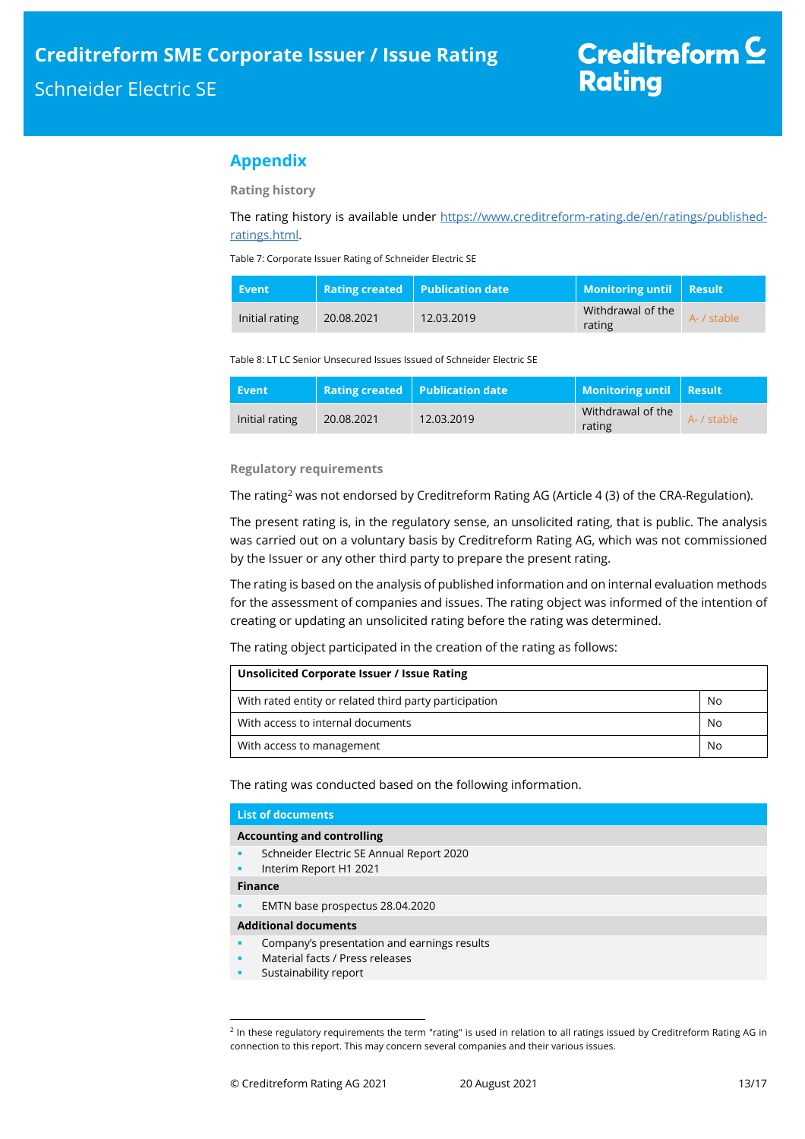# **Appendix**

**Rating history** 

The rating history is available under https://www.creditreform-rating.de/en/ratings/publishedratings.html.

Table 7: Corporate Issuer Rating of Schneider Electric SE

| <b>Event</b>   |            | Rating created   Publication date | Monitoring until   Result   |             |
|----------------|------------|-----------------------------------|-----------------------------|-------------|
| Initial rating | 20.08.2021 | 12.03.2019                        | Withdrawal of the<br>rating | A- / stable |

#### Table 8: LT LC Senior Unsecured Issues Issued of Schneider Electric SE

| Event          |            | Rating created   Publication date | Monitoring until   Result   |             |
|----------------|------------|-----------------------------------|-----------------------------|-------------|
| Initial rating | 20.08.2021 | 12.03.2019                        | Withdrawal of the<br>rating | A- / stable |

## **Regulatory requirements**

The rating<sup>2</sup> was not endorsed by Creditreform Rating AG (Article 4 (3) of the CRA-Regulation).

The present rating is, in the regulatory sense, an unsolicited rating, that is public. The analysis was carried out on a voluntary basis by Creditreform Rating AG, which was not commissioned by the Issuer or any other third party to prepare the present rating.

The rating is based on the analysis of published information and on internal evaluation methods for the assessment of companies and issues. The rating object was informed of the intention of creating or updating an unsolicited rating before the rating was determined.

The rating object participated in the creation of the rating as follows:

| Unsolicited Corporate Issuer / Issue Rating            |    |
|--------------------------------------------------------|----|
| With rated entity or related third party participation | No |
| With access to internal documents                      | No |
| With access to management                              | No |

The rating was conducted based on the following information.

| <b>List of documents</b>                                                                                               |
|------------------------------------------------------------------------------------------------------------------------|
| <b>Accounting and controlling</b>                                                                                      |
| Schneider Electric SE Annual Report 2020<br>٠<br>Interim Report H1 2021<br>٠                                           |
| <b>Finance</b>                                                                                                         |
| EMTN base prospectus 28.04.2020<br>٠                                                                                   |
| <b>Additional documents</b>                                                                                            |
| Company's presentation and earnings results<br>٠<br>Material facts / Press releases<br>٠<br>Sustainability report<br>٠ |

<sup>&</sup>lt;sup>2</sup> In these regulatory requirements the term "rating" is used in relation to all ratings issued by Creditreform Rating AG in connection to this report. This may concern several companies and their various issues.

j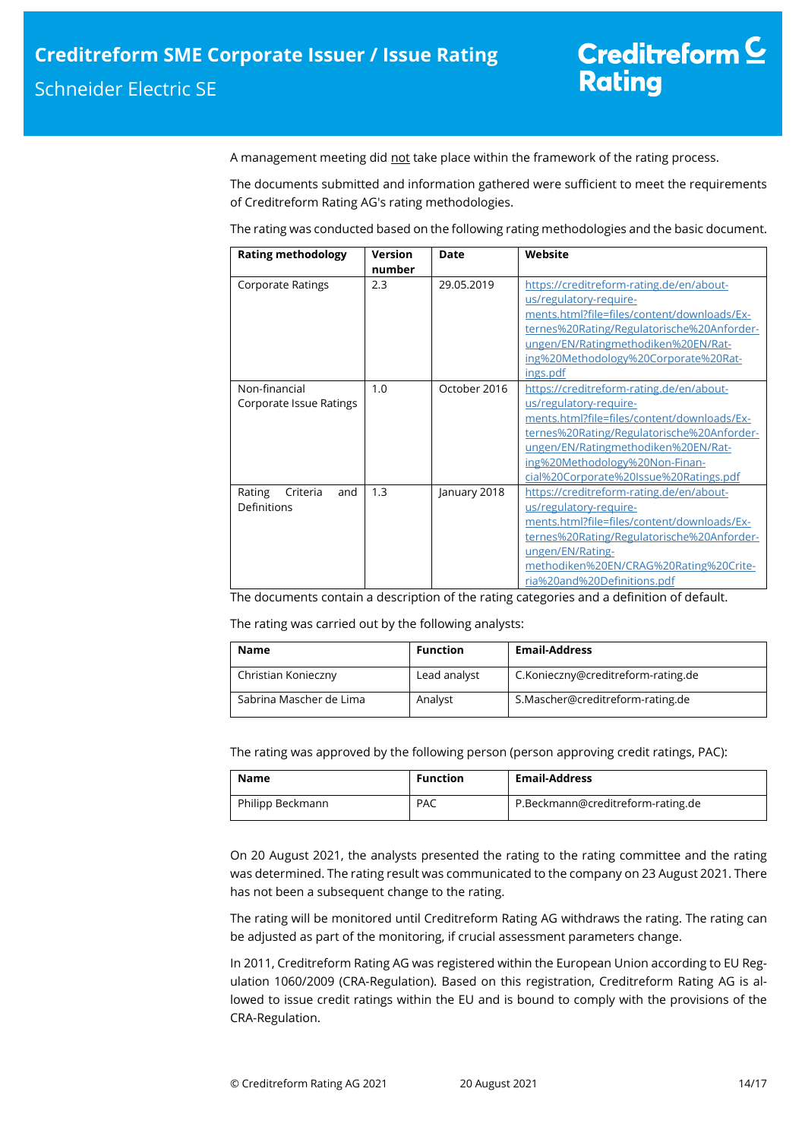A management meeting did not take place within the framework of the rating process.

The documents submitted and information gathered were sufficient to meet the requirements of Creditreform Rating AG's rating methodologies.

The rating was conducted based on the following rating methodologies and the basic document.

| <b>Rating methodology</b>                | <b>Version</b><br>number | Date         | Website                                                                                                                                                                                                                                                                            |
|------------------------------------------|--------------------------|--------------|------------------------------------------------------------------------------------------------------------------------------------------------------------------------------------------------------------------------------------------------------------------------------------|
| <b>Corporate Ratings</b>                 | 2.3                      | 29.05.2019   | https://creditreform-rating.de/en/about-<br>us/regulatory-require-<br>ments.html?file=files/content/downloads/Ex-<br>ternes%20Rating/Regulatorische%20Anforder-<br>ungen/EN/Ratingmethodiken%20EN/Rat-<br>ing%20Methodology%20Corporate%20Rat-<br>ings.pdf                         |
| Non-financial<br>Corporate Issue Ratings | 1.0                      | October 2016 | https://creditreform-rating.de/en/about-<br>us/regulatory-require-<br>ments.html?file=files/content/downloads/Ex-<br>ternes%20Rating/Regulatorische%20Anforder-<br>ungen/EN/Ratingmethodiken%20EN/Rat-<br>ing%20Methodology%20Non-Finan-<br>cial%20Corporate%20Issue%20Ratings.pdf |
| Rating<br>Criteria<br>and<br>Definitions | 1.3                      | January 2018 | https://creditreform-rating.de/en/about-<br>us/regulatory-require-<br>ments.html?file=files/content/downloads/Ex-<br>ternes%20Rating/Regulatorische%20Anforder-<br>ungen/EN/Rating-<br>methodiken%20EN/CRAG%20Rating%20Crite-<br>ria%20and%20Definitions.pdf                       |

The documents contain a description of the rating categories and a definition of default.

The rating was carried out by the following analysts:

| Name                    | <b>Function</b> | <b>Email-Address</b>               |
|-------------------------|-----------------|------------------------------------|
| Christian Konieczny     | Lead analyst    | C.Konieczny@creditreform-rating.de |
| Sabrina Mascher de Lima | Analyst         | S.Mascher@creditreform-rating.de   |

The rating was approved by the following person (person approving credit ratings, PAC):

| Name             | <b>Function</b> | <b>Email-Address</b>              |
|------------------|-----------------|-----------------------------------|
| Philipp Beckmann | <b>PAC</b>      | P.Beckmann@creditreform-rating.de |

On 20 August 2021, the analysts presented the rating to the rating committee and the rating was determined. The rating result was communicated to the company on 23 August 2021. There has not been a subsequent change to the rating.

The rating will be monitored until Creditreform Rating AG withdraws the rating. The rating can be adjusted as part of the monitoring, if crucial assessment parameters change.

In 2011, Creditreform Rating AG was registered within the European Union according to EU Regulation 1060/2009 (CRA-Regulation). Based on this registration, Creditreform Rating AG is allowed to issue credit ratings within the EU and is bound to comply with the provisions of the CRA-Regulation.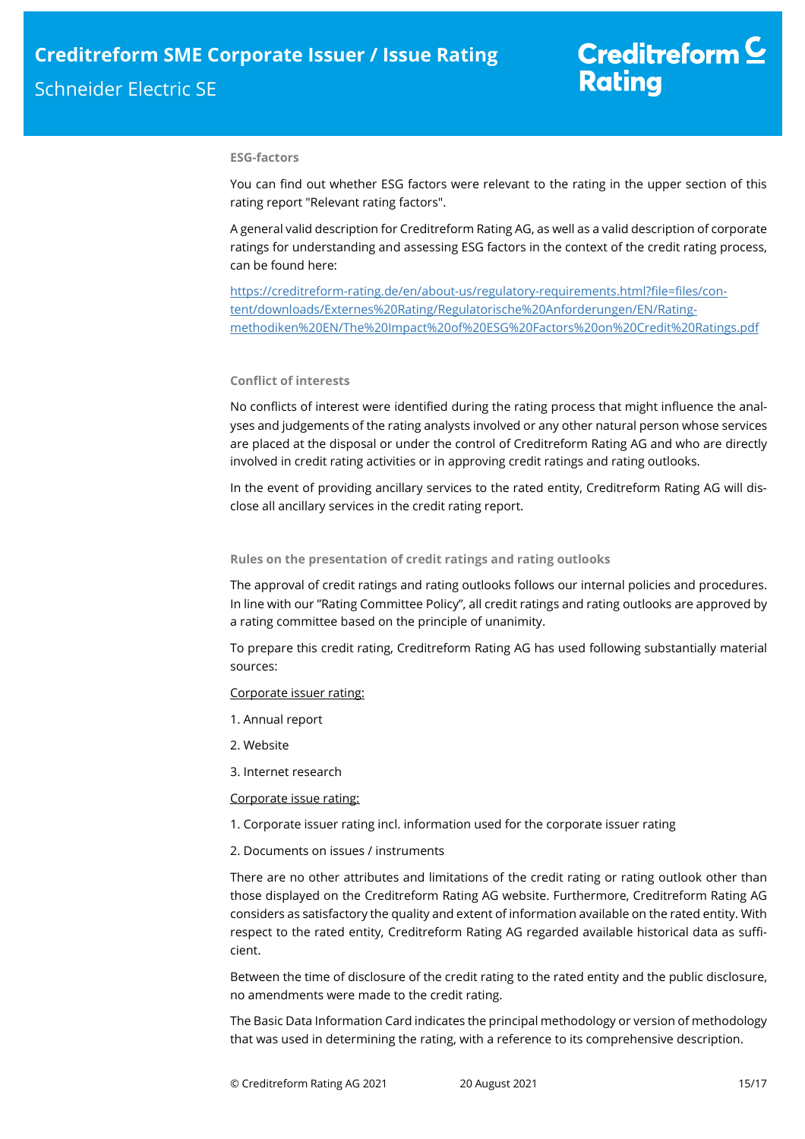### **ESG-factors**

You can find out whether ESG factors were relevant to the rating in the upper section of this rating report "Relevant rating factors".

A general valid description for Creditreform Rating AG, as well as a valid description of corporate ratings for understanding and assessing ESG factors in the context of the credit rating process, can be found here:

https://creditreform-rating.de/en/about-us/regulatory-requirements.html?file=files/content/downloads/Externes%20Rating/Regulatorische%20Anforderungen/EN/Ratingmethodiken%20EN/The%20Impact%20of%20ESG%20Factors%20on%20Credit%20Ratings.pdf

## **Conflict of interests**

No conflicts of interest were identified during the rating process that might influence the analyses and judgements of the rating analysts involved or any other natural person whose services are placed at the disposal or under the control of Creditreform Rating AG and who are directly involved in credit rating activities or in approving credit ratings and rating outlooks.

In the event of providing ancillary services to the rated entity, Creditreform Rating AG will disclose all ancillary services in the credit rating report.

## **Rules on the presentation of credit ratings and rating outlooks**

The approval of credit ratings and rating outlooks follows our internal policies and procedures. In line with our "Rating Committee Policy", all credit ratings and rating outlooks are approved by a rating committee based on the principle of unanimity.

To prepare this credit rating, Creditreform Rating AG has used following substantially material sources:

#### Corporate issuer rating:

- 1. Annual report
- 2. Website
- 3. Internet research

Corporate issue rating:

- 1. Corporate issuer rating incl. information used for the corporate issuer rating
- 2. Documents on issues / instruments

There are no other attributes and limitations of the credit rating or rating outlook other than those displayed on the Creditreform Rating AG website. Furthermore, Creditreform Rating AG considers as satisfactory the quality and extent of information available on the rated entity. With respect to the rated entity, Creditreform Rating AG regarded available historical data as sufficient.

Between the time of disclosure of the credit rating to the rated entity and the public disclosure, no amendments were made to the credit rating.

The Basic Data Information Card indicates the principal methodology or version of methodology that was used in determining the rating, with a reference to its comprehensive description.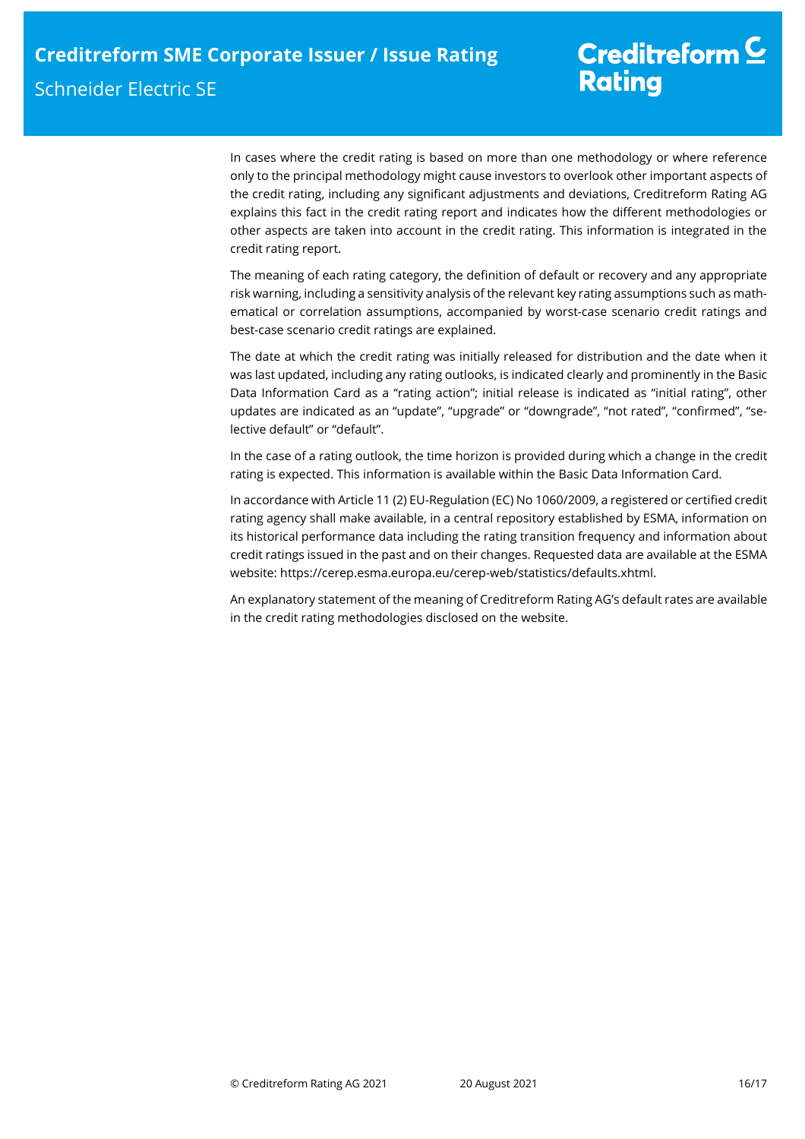In cases where the credit rating is based on more than one methodology or where reference only to the principal methodology might cause investors to overlook other important aspects of the credit rating, including any significant adjustments and deviations, Creditreform Rating AG explains this fact in the credit rating report and indicates how the different methodologies or other aspects are taken into account in the credit rating. This information is integrated in the credit rating report.

The meaning of each rating category, the definition of default or recovery and any appropriate risk warning, including a sensitivity analysis of the relevant key rating assumptions such as mathematical or correlation assumptions, accompanied by worst-case scenario credit ratings and best-case scenario credit ratings are explained.

The date at which the credit rating was initially released for distribution and the date when it was last updated, including any rating outlooks, is indicated clearly and prominently in the Basic Data Information Card as a "rating action"; initial release is indicated as "initial rating", other updates are indicated as an "update", "upgrade" or "downgrade", "not rated", "confirmed", "selective default" or "default".

In the case of a rating outlook, the time horizon is provided during which a change in the credit rating is expected. This information is available within the Basic Data Information Card.

In accordance with Article 11 (2) EU-Regulation (EC) No 1060/2009, a registered or certified credit rating agency shall make available, in a central repository established by ESMA, information on its historical performance data including the rating transition frequency and information about credit ratings issued in the past and on their changes. Requested data are available at the ESMA website: https://cerep.esma.europa.eu/cerep-web/statistics/defaults.xhtml.

An explanatory statement of the meaning of Creditreform Rating AG's default rates are available in the credit rating methodologies disclosed on the website.